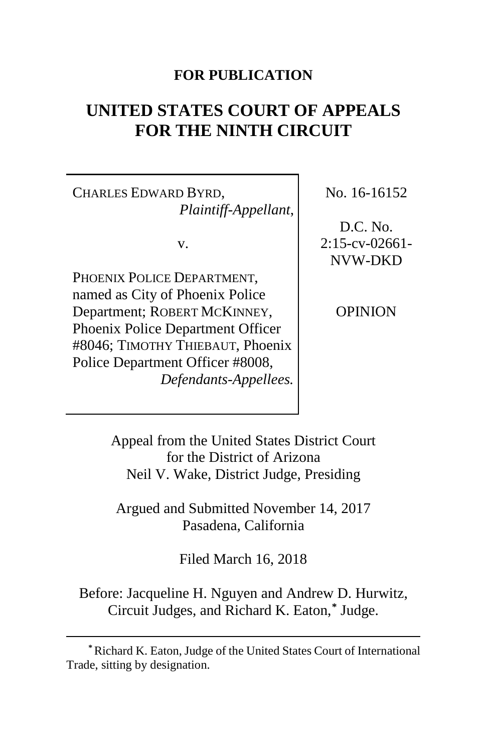# **FOR PUBLICATION**

# **UNITED STATES COURT OF APPEALS FOR THE NINTH CIRCUIT**

CHARLES EDWARD BYRD, *Plaintiff-Appellant*,

v.

PHOENIX POLICE DEPARTMENT. named as City of Phoenix Police Department; ROBERT MCKINNEY, Phoenix Police Department Officer #8046; TIMOTHY THIEBAUT, Phoenix Police Department Officer #8008, *Defendants-Appellees.*

 $\overline{a}$ 

No. 16-16152

D.C. No.  $2:15$ -cv-02661-NVW-DKD

OPINION

Appeal from the United States District Court for the District of Arizona Neil V. Wake, District Judge, Presiding

Argued and Submitted November 14, 2017 Pasadena, California

Filed March 16, 2018

Before: Jacqueline H. Nguyen and Andrew D. Hurwitz, Circuit Judges, and Richard K. Eaton, **[\\*](#page-0-0)** Judge.

<span id="page-0-0"></span>**<sup>\*</sup>**Richard K. Eaton, Judge of the United States Court of International Trade, sitting by designation.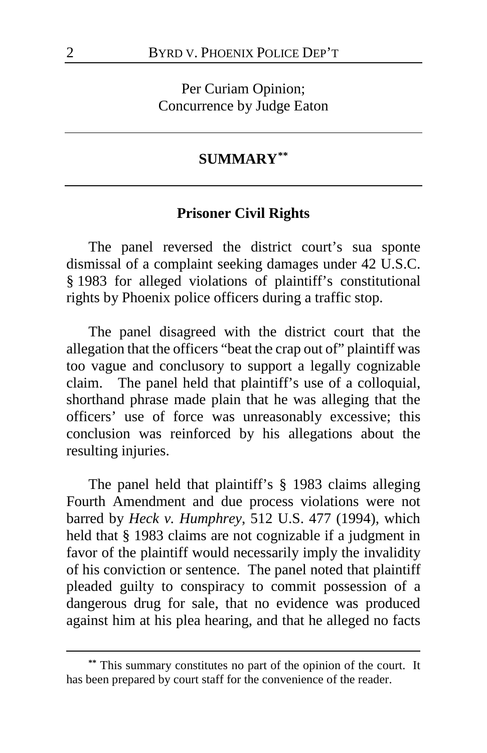Per Curiam Opinion; Concurrence by Judge Eaton

# **SUMMARY[\\*\\*](#page-1-0)**

# **Prisoner Civil Rights**

The panel reversed the district court's sua sponte dismissal of a complaint seeking damages under 42 U.S.C. § 1983 for alleged violations of plaintiff's constitutional rights by Phoenix police officers during a traffic stop.

The panel disagreed with the district court that the allegation that the officers "beat the crap out of" plaintiff was too vague and conclusory to support a legally cognizable claim. The panel held that plaintiff's use of a colloquial, shorthand phrase made plain that he was alleging that the officers' use of force was unreasonably excessive; this conclusion was reinforced by his allegations about the resulting injuries.

The panel held that plaintiff's § 1983 claims alleging Fourth Amendment and due process violations were not barred by *Heck v. Humphrey*, 512 U.S. 477 (1994), which held that § 1983 claims are not cognizable if a judgment in favor of the plaintiff would necessarily imply the invalidity of his conviction or sentence. The panel noted that plaintiff pleaded guilty to conspiracy to commit possession of a dangerous drug for sale, that no evidence was produced against him at his plea hearing, and that he alleged no facts

<span id="page-1-0"></span>**<sup>\*\*</sup>** This summary constitutes no part of the opinion of the court. It has been prepared by court staff for the convenience of the reader.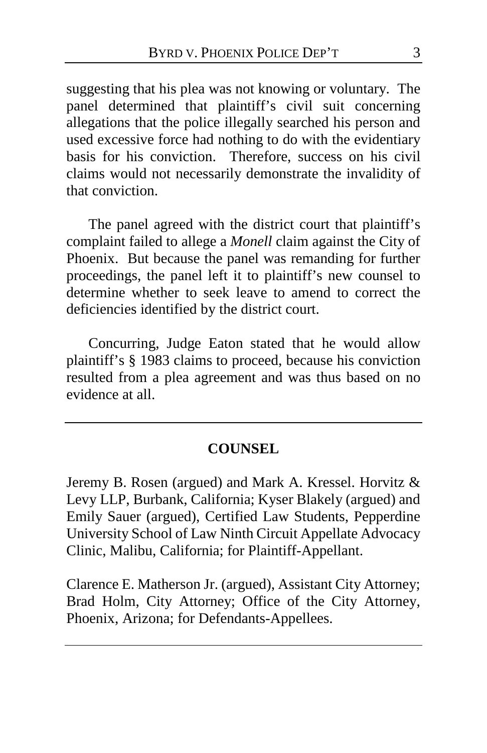suggesting that his plea was not knowing or voluntary. The panel determined that plaintiff's civil suit concerning allegations that the police illegally searched his person and used excessive force had nothing to do with the evidentiary basis for his conviction. Therefore, success on his civil claims would not necessarily demonstrate the invalidity of that conviction.

The panel agreed with the district court that plaintiff's complaint failed to allege a *Monell* claim against the City of Phoenix. But because the panel was remanding for further proceedings, the panel left it to plaintiff's new counsel to determine whether to seek leave to amend to correct the deficiencies identified by the district court.

Concurring, Judge Eaton stated that he would allow plaintiff's § 1983 claims to proceed, because his conviction resulted from a plea agreement and was thus based on no evidence at all.

# **COUNSEL**

Jeremy B. Rosen (argued) and Mark A. Kressel. Horvitz & Levy LLP, Burbank, California; Kyser Blakely (argued) and Emily Sauer (argued), Certified Law Students, Pepperdine University School of Law Ninth Circuit Appellate Advocacy Clinic, Malibu, California; for Plaintiff-Appellant.

Clarence E. Matherson Jr. (argued), Assistant City Attorney; Brad Holm, City Attorney; Office of the City Attorney, Phoenix, Arizona; for Defendants-Appellees.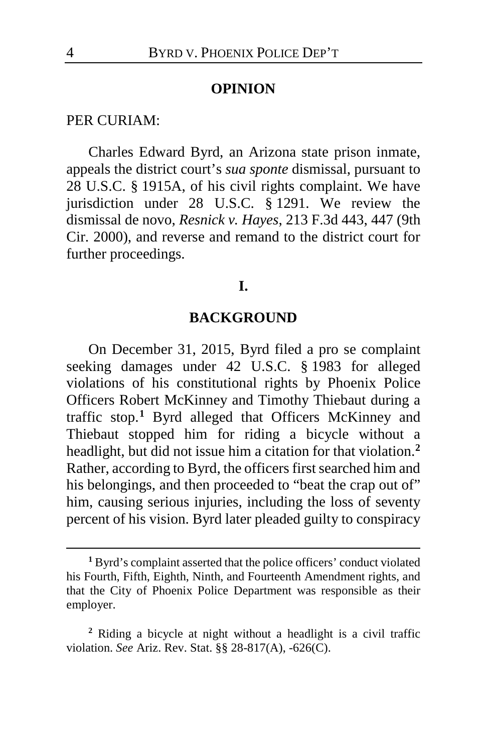#### **OPINION**

#### PER CURIAM:

Charles Edward Byrd, an Arizona state prison inmate, appeals the district court's *sua sponte* dismissal, pursuant to 28 U.S.C. § 1915A, of his civil rights complaint. We have jurisdiction under 28 U.S.C. § 1291. We review the dismissal de novo, *Resnick v. Hayes*, 213 F.3d 443, 447 (9th Cir. 2000), and reverse and remand to the district court for further proceedings.

### **I.**

# **BACKGROUND**

On December 31, 2015, Byrd filed a pro se complaint seeking damages under 42 U.S.C. § 1983 for alleged violations of his constitutional rights by Phoenix Police Officers Robert McKinney and Timothy Thiebaut during a traffic stop.**[1](#page-3-0)** Byrd alleged that Officers McKinney and Thiebaut stopped him for riding a bicycle without a headlight, but did not issue him a citation for that violation.**[2](#page-3-1)** Rather, according to Byrd, the officers first searched him and his belongings, and then proceeded to "beat the crap out of" him, causing serious injuries, including the loss of seventy percent of his vision. Byrd later pleaded guilty to conspiracy

<span id="page-3-0"></span>**<sup>1</sup>** Byrd's complaint asserted that the police officers' conduct violated his Fourth, Fifth, Eighth, Ninth, and Fourteenth Amendment rights, and that the City of Phoenix Police Department was responsible as their employer.

<span id="page-3-1"></span>**<sup>2</sup>** Riding a bicycle at night without a headlight is a civil traffic violation. *See* Ariz. Rev. Stat. §§ 28-817(A), -626(C).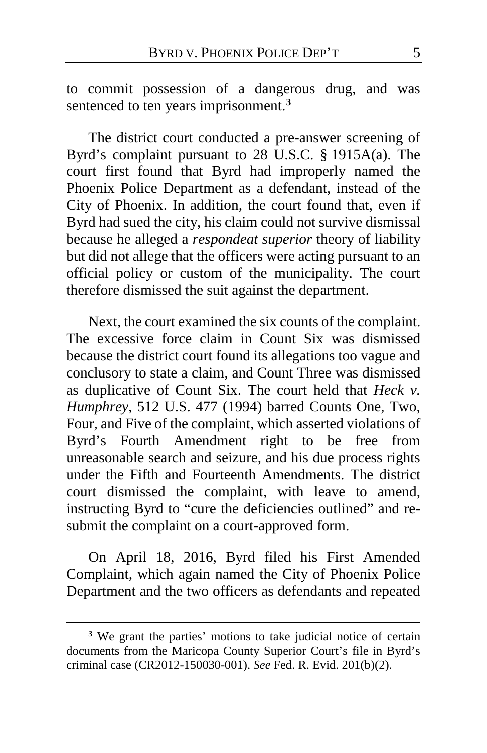to commit possession of a dangerous drug, and was sentenced to ten years imprisonment.**[3](#page-4-0)**

The district court conducted a pre-answer screening of Byrd's complaint pursuant to 28 U.S.C. § 1915A(a). The court first found that Byrd had improperly named the Phoenix Police Department as a defendant, instead of the City of Phoenix. In addition, the court found that, even if Byrd had sued the city, his claim could not survive dismissal because he alleged a *respondeat superior* theory of liability but did not allege that the officers were acting pursuant to an official policy or custom of the municipality. The court therefore dismissed the suit against the department.

Next, the court examined the six counts of the complaint. The excessive force claim in Count Six was dismissed because the district court found its allegations too vague and conclusory to state a claim, and Count Three was dismissed as duplicative of Count Six. The court held that *Heck v. Humphrey*, 512 U.S. 477 (1994) barred Counts One, Two, Four, and Five of the complaint, which asserted violations of Byrd's Fourth Amendment right to be free from unreasonable search and seizure, and his due process rights under the Fifth and Fourteenth Amendments. The district court dismissed the complaint, with leave to amend, instructing Byrd to "cure the deficiencies outlined" and resubmit the complaint on a court-approved form.

On April 18, 2016, Byrd filed his First Amended Complaint, which again named the City of Phoenix Police Department and the two officers as defendants and repeated

<span id="page-4-0"></span>**<sup>3</sup>** We grant the parties' motions to take judicial notice of certain documents from the Maricopa County Superior Court's file in Byrd's criminal case (CR2012-150030-001). *See* Fed. R. Evid. 201(b)(2).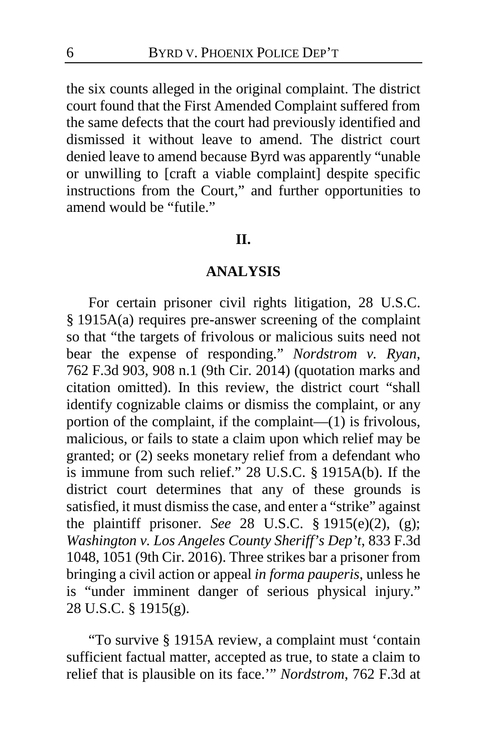the six counts alleged in the original complaint. The district court found that the First Amended Complaint suffered from the same defects that the court had previously identified and dismissed it without leave to amend. The district court denied leave to amend because Byrd was apparently "unable or unwilling to [craft a viable complaint] despite specific instructions from the Court," and further opportunities to amend would be "futile."

#### **II.**

#### **ANALYSIS**

For certain prisoner civil rights litigation, 28 U.S.C. § 1915A(a) requires pre-answer screening of the complaint so that "the targets of frivolous or malicious suits need not bear the expense of responding." *Nordstrom v. Ryan*, 762 F.3d 903, 908 n.1 (9th Cir. 2014) (quotation marks and citation omitted). In this review, the district court "shall identify cognizable claims or dismiss the complaint, or any portion of the complaint, if the complaint—(1) is frivolous, malicious, or fails to state a claim upon which relief may be granted; or (2) seeks monetary relief from a defendant who is immune from such relief." 28 U.S.C. § 1915A(b). If the district court determines that any of these grounds is satisfied, it must dismiss the case, and enter a "strike" against the plaintiff prisoner. *See* 28 U.S.C. § 1915(e)(2), (g); *Washington v. Los Angeles County Sheriff's Dep't*, 833 F.3d 1048, 1051 (9th Cir. 2016). Three strikes bar a prisoner from bringing a civil action or appeal *in forma pauperis*, unless he is "under imminent danger of serious physical injury." 28 U.S.C. § 1915(g).

"To survive § 1915A review, a complaint must 'contain sufficient factual matter, accepted as true, to state a claim to relief that is plausible on its face.'" *Nordstrom*, 762 F.3d at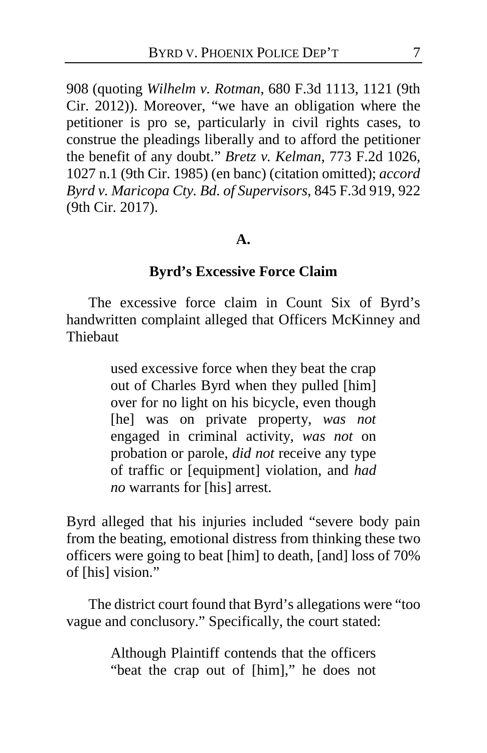908 (quoting *Wilhelm v. Rotman*, 680 F.3d 1113, 1121 (9th Cir. 2012)). Moreover, "we have an obligation where the petitioner is pro se, particularly in civil rights cases, to construe the pleadings liberally and to afford the petitioner the benefit of any doubt." *Bretz v. Kelman*, 773 F.2d 1026, 1027 n.1 (9th Cir. 1985) (en banc) (citation omitted); *accord Byrd v. Maricopa Cty. Bd. of Supervisors*, 845 F.3d 919, 922 (9th Cir. 2017).

#### **A.**

# **Byrd's Excessive Force Claim**

The excessive force claim in Count Six of Byrd's handwritten complaint alleged that Officers McKinney and **Thiebaut** 

> used excessive force when they beat the crap out of Charles Byrd when they pulled [him] over for no light on his bicycle, even though [he] was on private property, *was not* engaged in criminal activity, *was not* on probation or parole, *did not* receive any type of traffic or [equipment] violation, and *had no* warrants for [his] arrest.

Byrd alleged that his injuries included "severe body pain from the beating, emotional distress from thinking these two officers were going to beat [him] to death, [and] loss of 70% of [his] vision."

The district court found that Byrd's allegations were "too vague and conclusory." Specifically, the court stated:

> Although Plaintiff contends that the officers "beat the crap out of [him]," he does not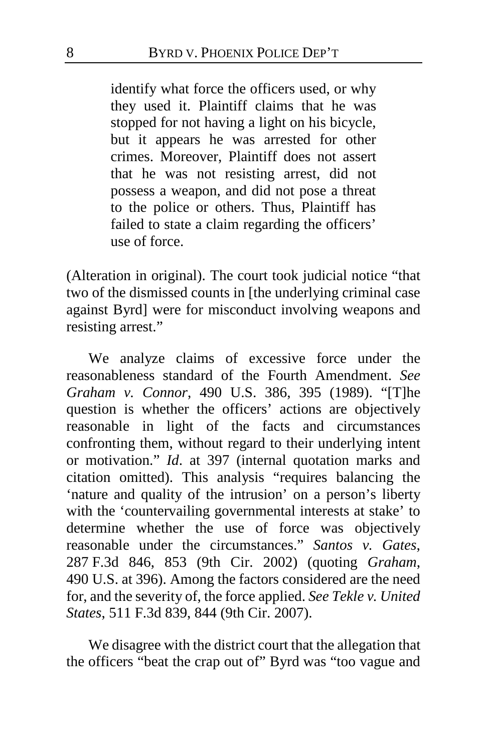identify what force the officers used, or why they used it. Plaintiff claims that he was stopped for not having a light on his bicycle, but it appears he was arrested for other crimes. Moreover, Plaintiff does not assert that he was not resisting arrest, did not possess a weapon, and did not pose a threat to the police or others. Thus, Plaintiff has failed to state a claim regarding the officers' use of force.

(Alteration in original). The court took judicial notice "that two of the dismissed counts in [the underlying criminal case against Byrd] were for misconduct involving weapons and resisting arrest."

We analyze claims of excessive force under the reasonableness standard of the Fourth Amendment. *See Graham v. Connor*, 490 U.S. 386, 395 (1989). "[T]he question is whether the officers' actions are objectively reasonable in light of the facts and circumstances confronting them, without regard to their underlying intent or motivation." *Id*. at 397 (internal quotation marks and citation omitted). This analysis "requires balancing the 'nature and quality of the intrusion' on a person's liberty with the 'countervailing governmental interests at stake' to determine whether the use of force was objectively reasonable under the circumstances." *Santos v. Gates*, 287 F.3d 846, 853 (9th Cir. 2002) (quoting *Graham*, 490 U.S. at 396). Among the factors considered are the need for, and the severity of, the force applied. *See Tekle v. United States*, 511 F.3d 839, 844 (9th Cir. 2007).

We disagree with the district court that the allegation that the officers "beat the crap out of" Byrd was "too vague and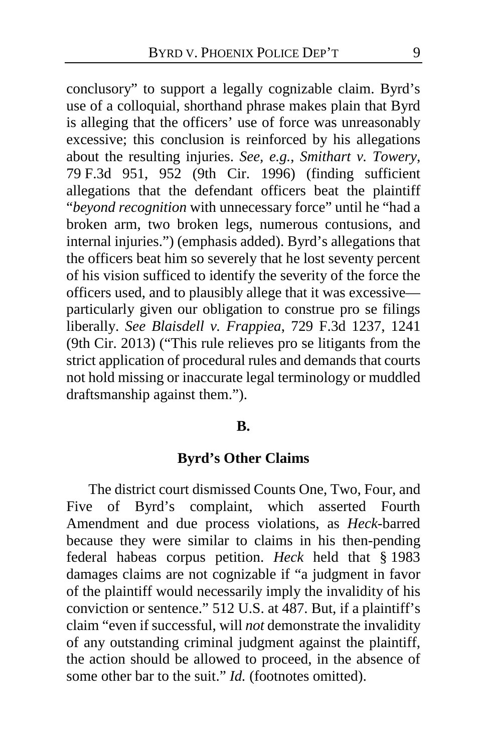conclusory" to support a legally cognizable claim. Byrd's use of a colloquial, shorthand phrase makes plain that Byrd is alleging that the officers' use of force was unreasonably excessive; this conclusion is reinforced by his allegations about the resulting injuries. *See, e.g.*, *Smithart v. Towery*, 79 F.3d 951, 952 (9th Cir. 1996) (finding sufficient allegations that the defendant officers beat the plaintiff "*beyond recognition* with unnecessary force" until he "had a broken arm, two broken legs, numerous contusions, and internal injuries.") (emphasis added). Byrd's allegations that the officers beat him so severely that he lost seventy percent of his vision sufficed to identify the severity of the force the officers used, and to plausibly allege that it was excessive particularly given our obligation to construe pro se filings liberally. *See Blaisdell v. Frappiea*, 729 F.3d 1237, 1241 (9th Cir. 2013) ("This rule relieves pro se litigants from the strict application of procedural rules and demands that courts not hold missing or inaccurate legal terminology or muddled draftsmanship against them.").

#### **B.**

# **Byrd's Other Claims**

The district court dismissed Counts One, Two, Four, and Five of Byrd's complaint, which asserted Fourth Amendment and due process violations, as *Heck*-barred because they were similar to claims in his then-pending federal habeas corpus petition. *Heck* held that § 1983 damages claims are not cognizable if "a judgment in favor of the plaintiff would necessarily imply the invalidity of his conviction or sentence." 512 U.S. at 487. But, if a plaintiff's claim "even if successful, will *not* demonstrate the invalidity of any outstanding criminal judgment against the plaintiff, the action should be allowed to proceed, in the absence of some other bar to the suit." *Id.* (footnotes omitted).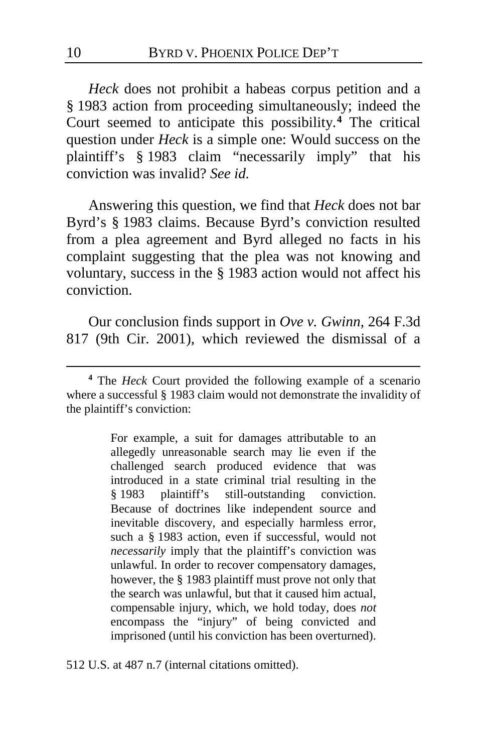*Heck* does not prohibit a habeas corpus petition and a § 1983 action from proceeding simultaneously; indeed the Court seemed to anticipate this possibility.**[4](#page-9-0)** The critical question under *Heck* is a simple one: Would success on the plaintiff's § 1983 claim "necessarily imply" that his conviction was invalid? *See id.*

Answering this question, we find that *Heck* does not bar Byrd's § 1983 claims. Because Byrd's conviction resulted from a plea agreement and Byrd alleged no facts in his complaint suggesting that the plea was not knowing and voluntary, success in the § 1983 action would not affect his conviction.

Our conclusion finds support in *Ove v. Gwinn*, 264 F.3d 817 (9th Cir. 2001), which reviewed the dismissal of a

For example, a suit for damages attributable to an allegedly unreasonable search may lie even if the challenged search produced evidence that was introduced in a state criminal trial resulting in the § 1983 plaintiff's still-outstanding conviction. Because of doctrines like independent source and inevitable discovery, and especially harmless error, such a § 1983 action, even if successful, would not *necessarily* imply that the plaintiff's conviction was unlawful. In order to recover compensatory damages, however, the § 1983 plaintiff must prove not only that the search was unlawful, but that it caused him actual, compensable injury, which, we hold today, does *not* encompass the "injury" of being convicted and imprisoned (until his conviction has been overturned).

512 U.S. at 487 n.7 (internal citations omitted).

<span id="page-9-0"></span>**<sup>4</sup>** The *Heck* Court provided the following example of a scenario where a successful § 1983 claim would not demonstrate the invalidity of the plaintiff's conviction: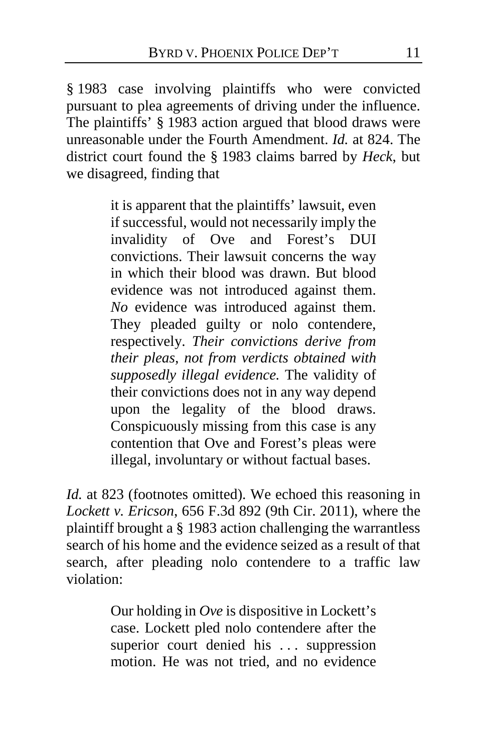§ 1983 case involving plaintiffs who were convicted pursuant to plea agreements of driving under the influence. The plaintiffs' § 1983 action argued that blood draws were unreasonable under the Fourth Amendment. *Id.* at 824. The district court found the § 1983 claims barred by *Heck*, but we disagreed, finding that

> it is apparent that the plaintiffs' lawsuit, even if successful, would not necessarily imply the invalidity of Ove and Forest's DUI convictions. Their lawsuit concerns the way in which their blood was drawn. But blood evidence was not introduced against them. *No* evidence was introduced against them. They pleaded guilty or nolo contendere, respectively. *Their convictions derive from their pleas, not from verdicts obtained with supposedly illegal evidence.* The validity of their convictions does not in any way depend upon the legality of the blood draws. Conspicuously missing from this case is any contention that Ove and Forest's pleas were illegal, involuntary or without factual bases.

*Id.* at 823 (footnotes omitted). We echoed this reasoning in *Lockett v. Ericson*, 656 F.3d 892 (9th Cir. 2011), where the plaintiff brought a § 1983 action challenging the warrantless search of his home and the evidence seized as a result of that search, after pleading nolo contendere to a traffic law violation:

> Our holding in *Ove* is dispositive in Lockett's case. Lockett pled nolo contendere after the superior court denied his ... suppression motion. He was not tried, and no evidence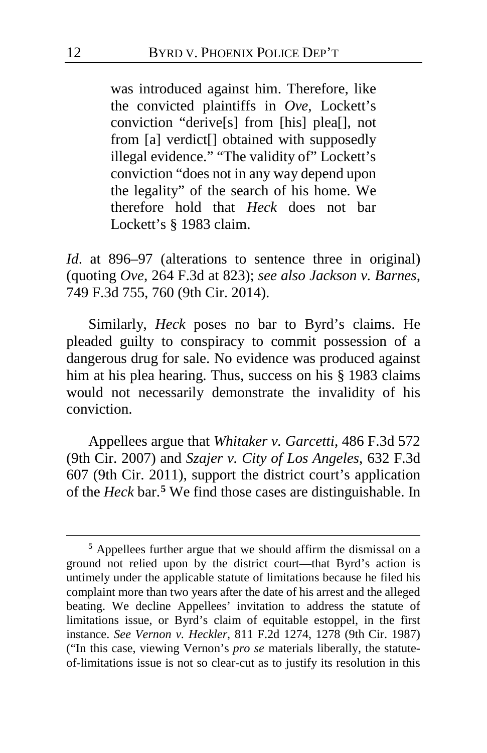was introduced against him. Therefore, like the convicted plaintiffs in *Ove*, Lockett's conviction "derive[s] from [his] plea[], not from [a] verdict<sup>[]</sup> obtained with supposedly illegal evidence." "The validity of" Lockett's conviction "does not in any way depend upon the legality" of the search of his home. We therefore hold that *Heck* does not bar Lockett's § 1983 claim.

*Id*. at 896–97 (alterations to sentence three in original) (quoting *Ove*, 264 F.3d at 823); *see also Jackson v. Barnes*, 749 F.3d 755, 760 (9th Cir. 2014).

Similarly, *Heck* poses no bar to Byrd's claims. He pleaded guilty to conspiracy to commit possession of a dangerous drug for sale. No evidence was produced against him at his plea hearing. Thus, success on his § 1983 claims would not necessarily demonstrate the invalidity of his conviction.

Appellees argue that *Whitaker v. Garcetti*, 486 F.3d 572 (9th Cir. 2007) and *Szajer v. City of Los Angeles*, 632 F.3d 607 (9th Cir. 2011), support the district court's application of the *Heck* bar.**[5](#page-11-0)** We find those cases are distinguishable. In

<span id="page-11-0"></span>**<sup>5</sup>** Appellees further argue that we should affirm the dismissal on a ground not relied upon by the district court—that Byrd's action is untimely under the applicable statute of limitations because he filed his complaint more than two years after the date of his arrest and the alleged beating. We decline Appellees' invitation to address the statute of limitations issue, or Byrd's claim of equitable estoppel, in the first instance. *See Vernon v. Heckler*, 811 F.2d 1274, 1278 (9th Cir. 1987) ("In this case, viewing Vernon's *pro se* materials liberally, the statuteof-limitations issue is not so clear-cut as to justify its resolution in this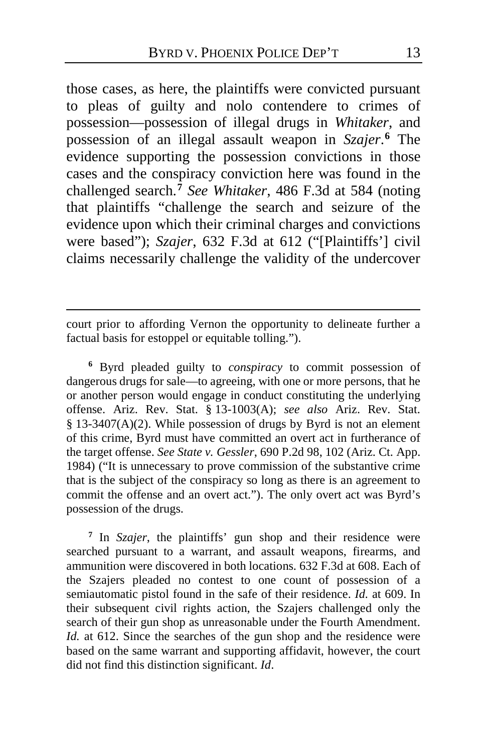those cases, as here, the plaintiffs were convicted pursuant to pleas of guilty and nolo contendere to crimes of possession—possession of illegal drugs in *Whitaker*, and possession of an illegal assault weapon in *Szajer*. **[6](#page-12-0)** The evidence supporting the possession convictions in those cases and the conspiracy conviction here was found in the challenged search.**[7](#page-12-1)** *See Whitaker*, 486 F.3d at 584 (noting that plaintiffs "challenge the search and seizure of the evidence upon which their criminal charges and convictions were based"); *Szajer*, 632 F.3d at 612 ("[Plaintiffs'] civil claims necessarily challenge the validity of the undercover

court prior to affording Vernon the opportunity to delineate further a factual basis for estoppel or equitable tolling.").

 $\overline{a}$ 

<span id="page-12-0"></span>**<sup>6</sup>** Byrd pleaded guilty to *conspiracy* to commit possession of dangerous drugs for sale—to agreeing, with one or more persons, that he or another person would engage in conduct constituting the underlying offense. Ariz. Rev. Stat. § 13-1003(A); *see also* Ariz. Rev. Stat. § 13-3407(A)(2). While possession of drugs by Byrd is not an element of this crime, Byrd must have committed an overt act in furtherance of the target offense. *See State v. Gessler*, 690 P.2d 98, 102 (Ariz. Ct. App. 1984) ("It is unnecessary to prove commission of the substantive crime that is the subject of the conspiracy so long as there is an agreement to commit the offense and an overt act."). The only overt act was Byrd's possession of the drugs.

<span id="page-12-1"></span>**<sup>7</sup>** In *Szajer*, the plaintiffs' gun shop and their residence were searched pursuant to a warrant, and assault weapons, firearms, and ammunition were discovered in both locations. 632 F.3d at 608. Each of the Szajers pleaded no contest to one count of possession of a semiautomatic pistol found in the safe of their residence. *Id.* at 609. In their subsequent civil rights action, the Szajers challenged only the search of their gun shop as unreasonable under the Fourth Amendment. *Id.* at 612. Since the searches of the gun shop and the residence were based on the same warrant and supporting affidavit, however, the court did not find this distinction significant. *Id*.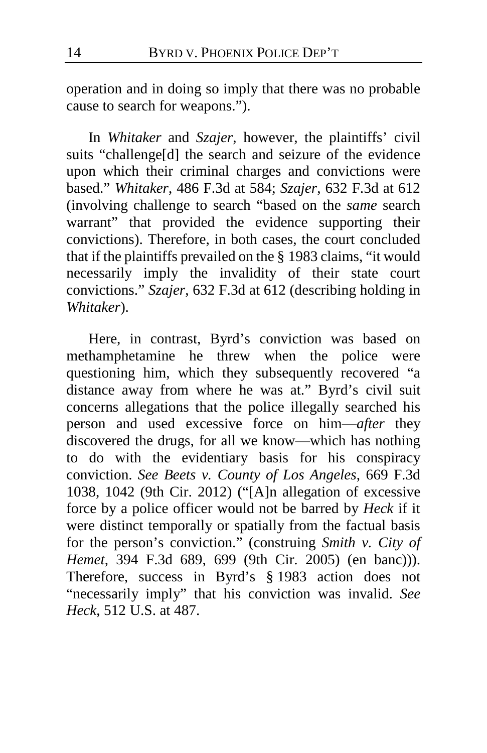operation and in doing so imply that there was no probable cause to search for weapons.").

In *Whitaker* and *Szajer*, however, the plaintiffs' civil suits "challenge[d] the search and seizure of the evidence upon which their criminal charges and convictions were based." *Whitaker*, 486 F.3d at 584; *Szajer*, 632 F.3d at 612 (involving challenge to search "based on the *same* search warrant" that provided the evidence supporting their convictions). Therefore, in both cases, the court concluded that if the plaintiffs prevailed on the § 1983 claims, "it would necessarily imply the invalidity of their state court convictions." *Szajer*, 632 F.3d at 612 (describing holding in *Whitaker*).

Here, in contrast, Byrd's conviction was based on methamphetamine he threw when the police were questioning him, which they subsequently recovered "a distance away from where he was at." Byrd's civil suit concerns allegations that the police illegally searched his person and used excessive force on him—*after* they discovered the drugs, for all we know—which has nothing to do with the evidentiary basis for his conspiracy conviction. *See Beets v. County of Los Angeles*, 669 F.3d 1038, 1042 (9th Cir. 2012) ("[A]n allegation of excessive force by a police officer would not be barred by *Heck* if it were distinct temporally or spatially from the factual basis for the person's conviction." (construing *Smith v. City of Hemet*, 394 F.3d 689, 699 (9th Cir. 2005) (en banc))). Therefore, success in Byrd's § 1983 action does not "necessarily imply" that his conviction was invalid. *See Heck*, 512 U.S. at 487.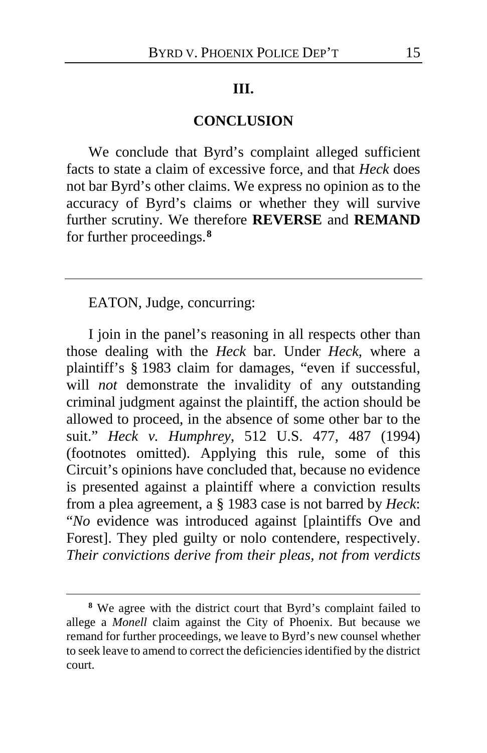#### **III.**

# **CONCLUSION**

We conclude that Byrd's complaint alleged sufficient facts to state a claim of excessive force, and that *Heck* does not bar Byrd's other claims. We express no opinion as to the accuracy of Byrd's claims or whether they will survive further scrutiny. We therefore **REVERSE** and **REMAND** for further proceedings.**[8](#page-14-0)**

EATON, Judge, concurring:

 $\overline{a}$ 

I join in the panel's reasoning in all respects other than those dealing with the *Heck* bar. Under *Heck*, where a plaintiff's § 1983 claim for damages, "even if successful, will *not* demonstrate the invalidity of any outstanding criminal judgment against the plaintiff, the action should be allowed to proceed, in the absence of some other bar to the suit." *Heck v. Humphrey*, 512 U.S. 477, 487 (1994) (footnotes omitted). Applying this rule, some of this Circuit's opinions have concluded that, because no evidence is presented against a plaintiff where a conviction results from a plea agreement, a § 1983 case is not barred by *Heck*: "*No* evidence was introduced against [plaintiffs Ove and Forest]. They pled guilty or nolo contendere, respectively. *Their convictions derive from their pleas, not from verdicts* 

<span id="page-14-0"></span>**<sup>8</sup>** We agree with the district court that Byrd's complaint failed to allege a *Monell* claim against the City of Phoenix. But because we remand for further proceedings, we leave to Byrd's new counsel whether to seek leave to amend to correct the deficiencies identified by the district court.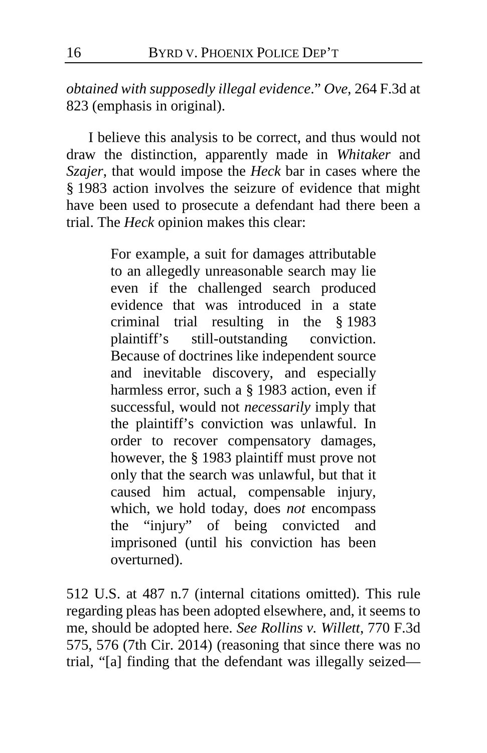*obtained with supposedly illegal evidence*." *Ove*, 264 F.3d at 823 (emphasis in original).

I believe this analysis to be correct, and thus would not draw the distinction, apparently made in *Whitaker* and *Szajer*, that would impose the *Heck* bar in cases where the § 1983 action involves the seizure of evidence that might have been used to prosecute a defendant had there been a trial. The *Heck* opinion makes this clear:

> For example, a suit for damages attributable to an allegedly unreasonable search may lie even if the challenged search produced evidence that was introduced in a state criminal trial resulting in the § 1983 plaintiff's still-outstanding conviction. Because of doctrines like independent source and inevitable discovery, and especially harmless error, such a § 1983 action, even if successful, would not *necessarily* imply that the plaintiff's conviction was unlawful. In order to recover compensatory damages, however, the § 1983 plaintiff must prove not only that the search was unlawful, but that it caused him actual, compensable injury, which, we hold today, does *not* encompass the "injury" of being convicted and imprisoned (until his conviction has been overturned).

512 U.S. at 487 n.7 (internal citations omitted). This rule regarding pleas has been adopted elsewhere, and, it seems to me, should be adopted here. *See Rollins v. Willett*, 770 F.3d 575, 576 (7th Cir. 2014) (reasoning that since there was no trial, "[a] finding that the defendant was illegally seized—